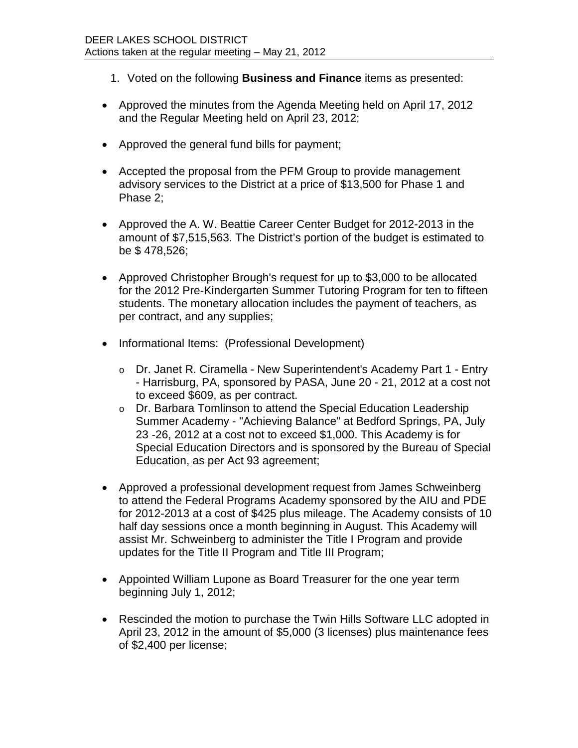- 1. Voted on the following **Business and Finance** items as presented:
- Approved the minutes from the Agenda Meeting held on April 17, 2012 and the Regular Meeting held on April 23, 2012;
- Approved the general fund bills for payment;
- Accepted the proposal from the PFM Group to provide management advisory services to the District at a price of \$13,500 for Phase 1 and Phase 2;
- Approved the A. W. Beattie Career Center Budget for 2012-2013 in the amount of \$7,515,563. The District's portion of the budget is estimated to be \$ 478,526;
- Approved Christopher Brough's request for up to \$3,000 to be allocated for the 2012 Pre-Kindergarten Summer Tutoring Program for ten to fifteen students. The monetary allocation includes the payment of teachers, as per contract, and any supplies;
- Informational Items: (Professional Development)
	- o Dr. Janet R. Ciramella New Superintendent's Academy Part 1 Entry - Harrisburg, PA, sponsored by PASA, June 20 - 21, 2012 at a cost not to exceed \$609, as per contract.
	- o Dr. Barbara Tomlinson to attend the Special Education Leadership Summer Academy - "Achieving Balance" at Bedford Springs, PA, July 23 -26, 2012 at a cost not to exceed \$1,000. This Academy is for Special Education Directors and is sponsored by the Bureau of Special Education, as per Act 93 agreement;
- Approved a professional development request from James Schweinberg to attend the Federal Programs Academy sponsored by the AIU and PDE for 2012-2013 at a cost of \$425 plus mileage. The Academy consists of 10 half day sessions once a month beginning in August. This Academy will assist Mr. Schweinberg to administer the Title I Program and provide updates for the Title II Program and Title III Program;
- Appointed William Lupone as Board Treasurer for the one year term beginning July 1, 2012;
- Rescinded the motion to purchase the Twin Hills Software LLC adopted in April 23, 2012 in the amount of \$5,000 (3 licenses) plus maintenance fees of \$2,400 per license;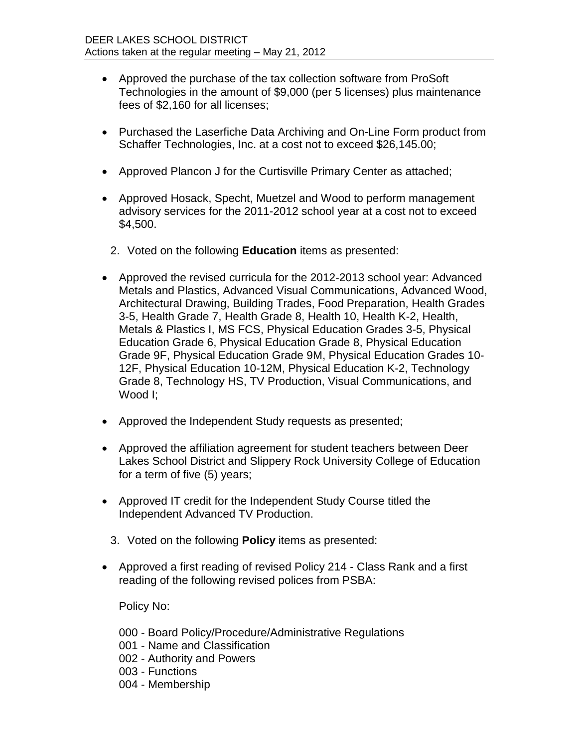- Approved the purchase of the tax collection software from ProSoft Technologies in the amount of \$9,000 (per 5 licenses) plus maintenance fees of \$2,160 for all licenses;
- Purchased the Laserfiche Data Archiving and On-Line Form product from Schaffer Technologies, Inc. at a cost not to exceed \$26,145.00;
- Approved Plancon J for the Curtisville Primary Center as attached;
- Approved Hosack, Specht, Muetzel and Wood to perform management advisory services for the 2011-2012 school year at a cost not to exceed \$4,500.
	- 2. Voted on the following **Education** items as presented:
- Approved the revised curricula for the 2012-2013 school year: Advanced Metals and Plastics, Advanced Visual Communications, Advanced Wood, Architectural Drawing, Building Trades, Food Preparation, Health Grades 3-5, Health Grade 7, Health Grade 8, Health 10, Health K-2, Health, Metals & Plastics I, MS FCS, Physical Education Grades 3-5, Physical Education Grade 6, Physical Education Grade 8, Physical Education Grade 9F, Physical Education Grade 9M, Physical Education Grades 10- 12F, Physical Education 10-12M, Physical Education K-2, Technology Grade 8, Technology HS, TV Production, Visual Communications, and Wood I;
- Approved the Independent Study requests as presented;
- Approved the affiliation agreement for student teachers between Deer Lakes School District and Slippery Rock University College of Education for a term of five (5) years;
- Approved IT credit for the Independent Study Course titled the Independent Advanced TV Production.
	- 3. Voted on the following **Policy** items as presented:
- Approved a first reading of revised Policy 214 Class Rank and a first reading of the following revised polices from PSBA:

Policy No:

- 000 Board Policy/Procedure/Administrative Regulations
- 001 Name and Classification
- 002 Authority and Powers
- 003 Functions
- 004 Membership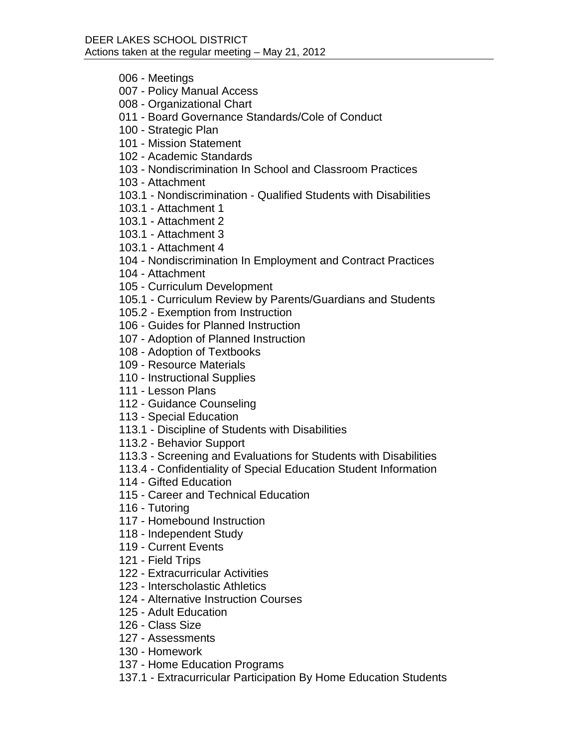- 006 Meetings
- 007 Policy Manual Access
- 008 Organizational Chart
- 011 Board Governance Standards/Cole of Conduct
- 100 Strategic Plan
- 101 Mission Statement
- 102 Academic Standards
- 103 Nondiscrimination In School and Classroom Practices
- 103 Attachment
- 103.1 Nondiscrimination Qualified Students with Disabilities
- 103.1 Attachment 1
- 103.1 Attachment 2
- 103.1 Attachment 3
- 103.1 Attachment 4
- 104 Nondiscrimination In Employment and Contract Practices
- 104 Attachment
- 105 Curriculum Development
- 105.1 Curriculum Review by Parents/Guardians and Students
- 105.2 Exemption from Instruction
- 106 Guides for Planned Instruction
- 107 Adoption of Planned Instruction
- 108 Adoption of Textbooks
- 109 Resource Materials
- 110 Instructional Supplies
- 111 Lesson Plans
- 112 Guidance Counseling
- 113 Special Education
- 113.1 Discipline of Students with Disabilities
- 113.2 Behavior Support
- 113.3 Screening and Evaluations for Students with Disabilities
- 113.4 Confidentiality of Special Education Student Information
- 114 Gifted Education
- 115 Career and Technical Education
- 116 Tutoring
- 117 Homebound Instruction
- 118 Independent Study
- 119 Current Events
- 121 Field Trips
- 122 Extracurricular Activities
- 123 Interscholastic Athletics
- 124 Alternative Instruction Courses
- 125 Adult Education
- 126 Class Size
- 127 Assessments
- 130 Homework
- 137 Home Education Programs
- 137.1 Extracurricular Participation By Home Education Students